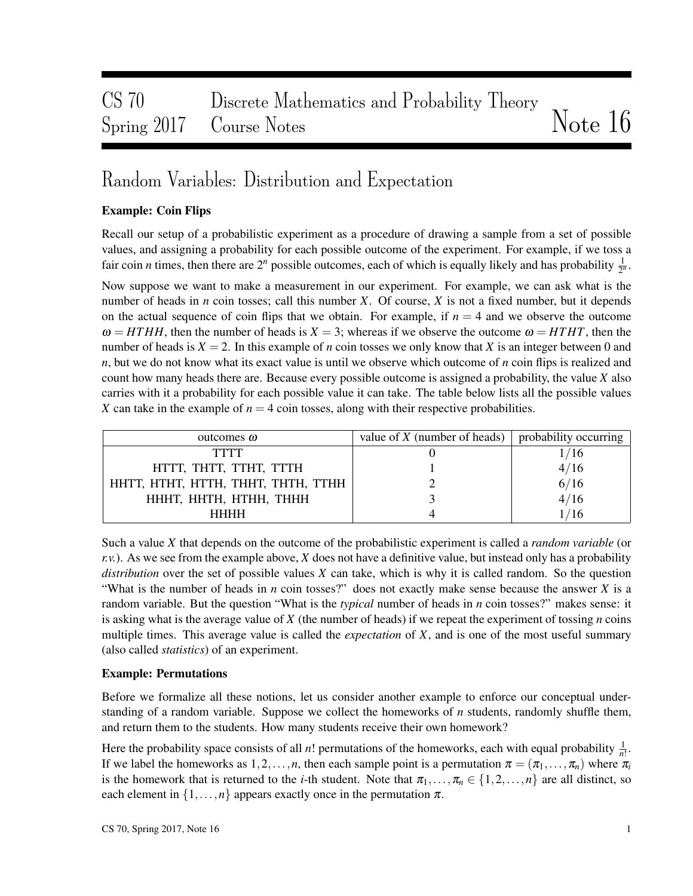# CS 70 Discrete Mathematics and Probability Theory Spring 2017 Course Notes Notes Note 16

# Random Variables: Distribution and Expectation

### Example: Coin Flips

Recall our setup of a probabilistic experiment as a procedure of drawing a sample from a set of possible values, and assigning a probability for each possible outcome of the experiment. For example, if we toss a fair coin *n* times, then there are  $2^n$  possible outcomes, each of which is equally likely and has probability  $\frac{1}{2^n}$ .

Now suppose we want to make a measurement in our experiment. For example, we can ask what is the number of heads in *n* coin tosses; call this number *X*. Of course, *X* is not a fixed number, but it depends on the actual sequence of coin flips that we obtain. For example, if  $n = 4$  and we observe the outcome  $\omega = HTHH$ , then the number of heads is  $X = 3$ ; whereas if we observe the outcome  $\omega = HTHT$ , then the number of heads is  $X = 2$ . In this example of *n* coin tosses we only know that *X* is an integer between 0 and *n*, but we do not know what its exact value is until we observe which outcome of *n* coin flips is realized and count how many heads there are. Because every possible outcome is assigned a probability, the value *X* also carries with it a probability for each possible value it can take. The table below lists all the possible values X can take in the example of  $n = 4$  coin tosses, along with their respective probabilities.

| outcomes $\omega$                  | value of $X$ (number of heads) | probability occurring |  |  |
|------------------------------------|--------------------------------|-----------------------|--|--|
| TTTT                               |                                |                       |  |  |
| HTTT, THTT, TTHT, TTTH             |                                | 4/16                  |  |  |
| HHTT, HTHT, HTTH, THHT, THTH, TTHH |                                | 6/16                  |  |  |
| HHHT, HHTH, HTHH, THHH             |                                | 4/16                  |  |  |
| HHHH                               |                                |                       |  |  |

Such a value *X* that depends on the outcome of the probabilistic experiment is called a *random variable* (or  $r.v.$ ). As we see from the example above, *X* does not have a definitive value, but instead only has a probability *distribution* over the set of possible values *X* can take, which is why it is called random. So the question "What is the number of heads in *n* coin tosses?" does not exactly make sense because the answer *X* is a random variable. But the question "What is the *typical* number of heads in *n* coin tosses?" makes sense: it is asking what is the average value of *X* (the number of heads) if we repeat the experiment of tossing *n* coins multiple times. This average value is called the *expectation* of *X*, and is one of the most useful summary (also called *statistics*) of an experiment.

#### Example: Permutations

Before we formalize all these notions, let us consider another example to enforce our conceptual understanding of a random variable. Suppose we collect the homeworks of *n* students, randomly shuffle them, and return them to the students. How many students receive their own homework?

Here the probability space consists of all *n*! permutations of the homeworks, each with equal probability  $\frac{1}{n!}$ . If we label the homeworks as  $1, 2, ..., n$ , then each sample point is a permutation  $\pi = (\pi_1, ..., \pi_n)$  where  $\pi_i$ is the homework that is returned to the *i*-th student. Note that  $\pi_1, \ldots, \pi_n \in \{1, 2, \ldots, n\}$  are all distinct, so each element in  $\{1,\ldots,n\}$  appears exactly once in the permutation  $\pi$ .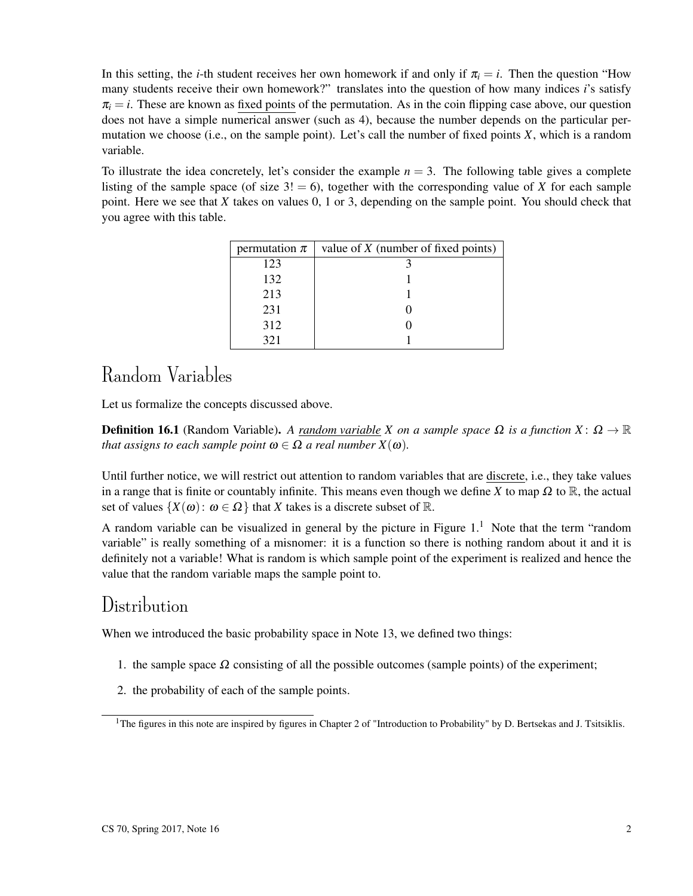In this setting, the *i*-th student receives her own homework if and only if  $\pi_i = i$ . Then the question "How many students receive their own homework?" translates into the question of how many indices *i*'s satisfy  $\pi$ <sub>i</sub> = *i*. These are known as fixed points of the permutation. As in the coin flipping case above, our question does not have a simple numerical answer (such as 4), because the number depends on the particular permutation we choose (i.e., on the sample point). Let's call the number of fixed points *X*, which is a random variable.

To illustrate the idea concretely, let's consider the example  $n = 3$ . The following table gives a complete listing of the sample space (of size  $3! = 6$ ), together with the corresponding value of *X* for each sample point. Here we see that *X* takes on values 0, 1 or 3, depending on the sample point. You should check that you agree with this table.

| permutation $\pi$ | value of $X$ (number of fixed points) |
|-------------------|---------------------------------------|
| 123               |                                       |
| 132               |                                       |
| 213               |                                       |
| 231               |                                       |
| 312               |                                       |
| 321               |                                       |

# Random Variables

Let us formalize the concepts discussed above.

**Definition 16.1** (Random Variable). *A random variable X on a sample space*  $\Omega$  *is a function X* :  $\Omega \to \mathbb{R}$ *that assigns to each sample point*  $\omega \in \Omega$  *a real number*  $X(\omega)$ *.* 

Until further notice, we will restrict out attention to random variables that are discrete, i.e., they take values in a range that is finite or countably infinite. This means even though we define *X* to map  $\Omega$  to  $\mathbb{R}$ , the actual set of values  $\{X(\omega): \omega \in \Omega\}$  that *X* takes is a discrete subset of R.

A random variable can be visualized in general by the picture in Figure  $1<sup>1</sup>$ . Note that the term "random" variable" is really something of a misnomer: it is a function so there is nothing random about it and it is definitely not a variable! What is random is which sample point of the experiment is realized and hence the value that the random variable maps the sample point to.

## Distribution

When we introduced the basic probability space in Note 13, we defined two things:

- 1. the sample space  $\Omega$  consisting of all the possible outcomes (sample points) of the experiment;
- 2. the probability of each of the sample points.

<sup>&</sup>lt;sup>1</sup>The figures in this note are inspired by figures in Chapter 2 of "Introduction to Probability" by D. Bertsekas and J. Tsitsiklis.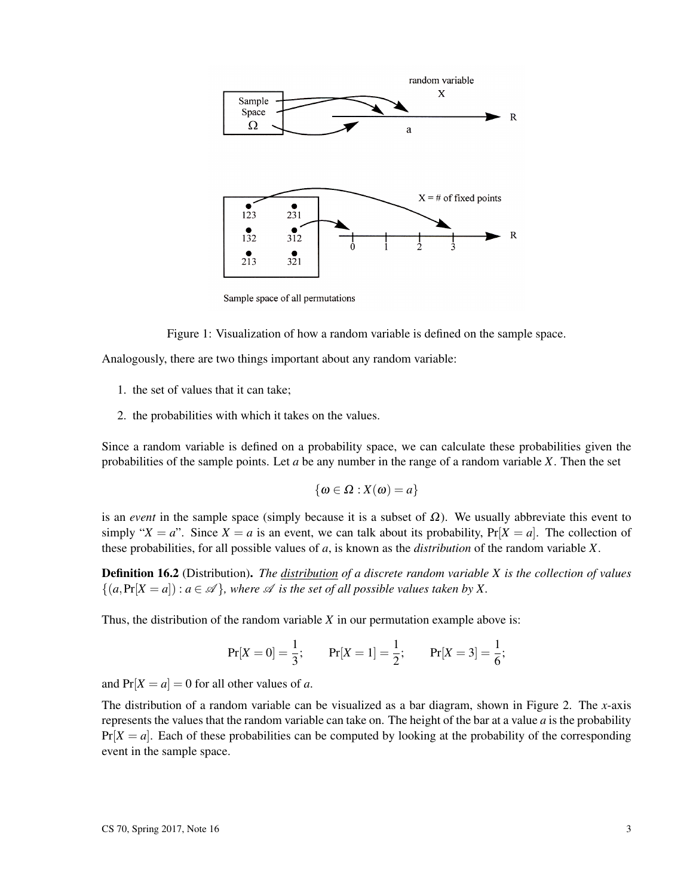

Sample space of all permutations

Figure 1: Visualization of how a random variable is defined on the sample space.

Analogously, there are two things important about any random variable:

- 1. the set of values that it can take;
- 2. the probabilities with which it takes on the values.

Since a random variable is defined on a probability space, we can calculate these probabilities given the probabilities of the sample points. Let *a* be any number in the range of a random variable *X*. Then the set

$$
\{\omega \in \Omega : X(\omega) = a\}
$$

is an *event* in the sample space (simply because it is a subset of  $\Omega$ ). We usually abbreviate this event to simply " $X = a$ ". Since  $X = a$  is an event, we can talk about its probability,  $Pr[X = a]$ . The collection of these probabilities, for all possible values of *a*, is known as the *distribution* of the random variable *X*.

Definition 16.2 (Distribution). *The distribution of a discrete random variable X is the collection of values*  $\{(a, \Pr[X = a]) : a \in \mathcal{A}\}\$ , where  $\mathcal A$  *is the set of all possible values taken by X.* 

Thus, the distribution of the random variable *X* in our permutation example above is:

$$
Pr[X = 0] = \frac{1}{3};
$$
  $Pr[X = 1] = \frac{1}{2};$   $Pr[X = 3] = \frac{1}{6};$ 

and  $Pr[X = a] = 0$  for all other values of *a*.

The distribution of a random variable can be visualized as a bar diagram, shown in Figure 2. The *x*-axis represents the values that the random variable can take on. The height of the bar at a value *a* is the probability  $Pr[X = a]$ . Each of these probabilities can be computed by looking at the probability of the corresponding event in the sample space.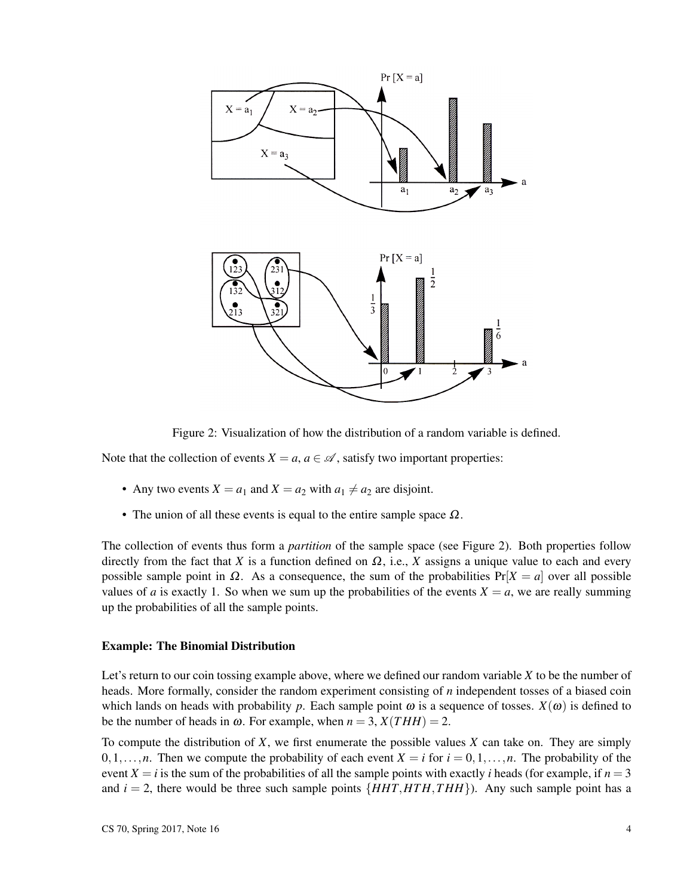

Figure 2: Visualization of how the distribution of a random variable is defined.

Note that the collection of events  $X = a, a \in \mathcal{A}$ , satisfy two important properties:

- Any two events  $X = a_1$  and  $X = a_2$  with  $a_1 \neq a_2$  are disjoint.
- The union of all these events is equal to the entire sample space  $\Omega$ .

The collection of events thus form a *partition* of the sample space (see Figure 2). Both properties follow directly from the fact that *X* is a function defined on  $\Omega$ , i.e., *X* assigns a unique value to each and every possible sample point in  $\Omega$ . As a consequence, the sum of the probabilities  $Pr[X = a]$  over all possible values of *a* is exactly 1. So when we sum up the probabilities of the events  $X = a$ , we are really summing up the probabilities of all the sample points.

#### Example: The Binomial Distribution

Let's return to our coin tossing example above, where we defined our random variable *X* to be the number of heads. More formally, consider the random experiment consisting of *n* independent tosses of a biased coin which lands on heads with probability p. Each sample point  $\omega$  is a sequence of tosses.  $X(\omega)$  is defined to be the number of heads in  $\omega$ . For example, when  $n = 3$ ,  $X(THH) = 2$ .

To compute the distribution of *X*, we first enumerate the possible values *X* can take on. They are simply  $0,1,\ldots,n$ . Then we compute the probability of each event  $X = i$  for  $i = 0,1,\ldots,n$ . The probability of the event  $X = i$  is the sum of the probabilities of all the sample points with exactly *i* heads (for example, if  $n = 3$ ) and  $i = 2$ , there would be three such sample points  $\{HHT, HTH, THH\}$ ). Any such sample point has a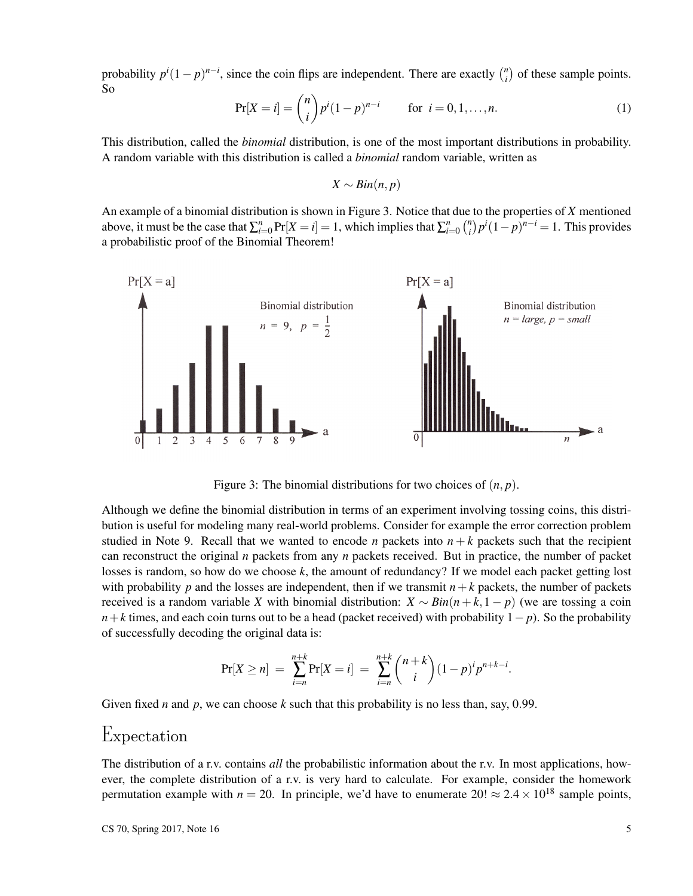probability  $p^{i}(1-p)^{n-i}$ , since the coin flips are independent. There are exactly  $\binom{n}{i}$  $\binom{n}{i}$  of these sample points. So

$$
Pr[X = i] = {n \choose i} p^{i} (1-p)^{n-i} \qquad \text{for } i = 0, 1, ..., n.
$$
 (1)

This distribution, called the *binomial* distribution, is one of the most important distributions in probability. A random variable with this distribution is called a *binomial* random variable, written as

*X* ∼ *Bin*(*n*, *p*)

An example of a binomial distribution is shown in Figure 3. Notice that due to the properties of *X* mentioned above, it must be the case that  $\sum_{i=0}^{n} \Pr[X=i]=1$ , which implies that  $\sum_{i=0}^{n} {n \choose i}$  $\binom{n}{i} p^i (1-p)^{n-i} = 1$ . This provides a probabilistic proof of the Binomial Theorem!



Figure 3: The binomial distributions for two choices of (*n*, *p*).

Although we define the binomial distribution in terms of an experiment involving tossing coins, this distribution is useful for modeling many real-world problems. Consider for example the error correction problem studied in Note 9. Recall that we wanted to encode *n* packets into  $n + k$  packets such that the recipient can reconstruct the original *n* packets from any *n* packets received. But in practice, the number of packet losses is random, so how do we choose *k*, the amount of redundancy? If we model each packet getting lost with probability *p* and the losses are independent, then if we transmit  $n+k$  packets, the number of packets received is a random variable *X* with binomial distribution:  $X \sim Bin(n+k,1-p)$  (we are tossing a coin *n*+*k* times, and each coin turns out to be a head (packet received) with probability 1− *p*). So the probability of successfully decoding the original data is:

$$
Pr[X \ge n] = \sum_{i=n}^{n+k} Pr[X = i] = \sum_{i=n}^{n+k} {n+k \choose i} (1-p)^{i} p^{n+k-i}.
$$

Given fixed *n* and *p*, we can choose  $k$  such that this probability is no less than, say, 0.99.

### Expectation

The distribution of a r.v. contains *all* the probabilistic information about the r.v. In most applications, however, the complete distribution of a r.v. is very hard to calculate. For example, consider the homework permutation example with  $n = 20$ . In principle, we'd have to enumerate  $20! \approx 2.4 \times 10^{18}$  sample points,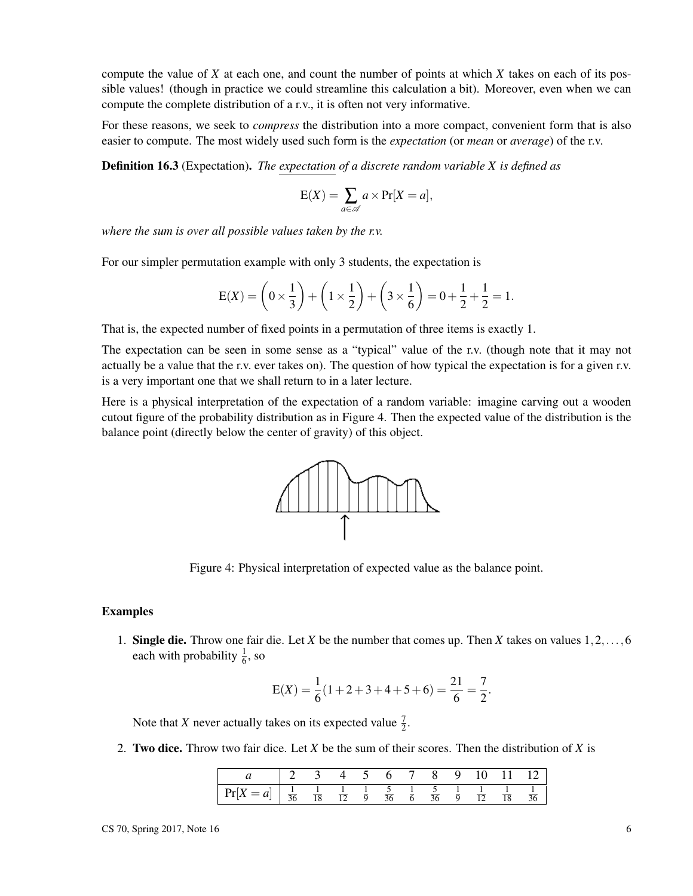compute the value of *X* at each one, and count the number of points at which *X* takes on each of its possible values! (though in practice we could streamline this calculation a bit). Moreover, even when we can compute the complete distribution of a r.v., it is often not very informative.

For these reasons, we seek to *compress* the distribution into a more compact, convenient form that is also easier to compute. The most widely used such form is the *expectation* (or *mean* or *average*) of the r.v.

Definition 16.3 (Expectation). *The expectation of a discrete random variable X is defined as*

$$
E(X) = \sum_{a \in \mathscr{A}} a \times \Pr[X = a],
$$

*where the sum is over all possible values taken by the r.v.*

For our simpler permutation example with only 3 students, the expectation is

$$
E(X) = \left(0 \times \frac{1}{3}\right) + \left(1 \times \frac{1}{2}\right) + \left(3 \times \frac{1}{6}\right) = 0 + \frac{1}{2} + \frac{1}{2} = 1.
$$

That is, the expected number of fixed points in a permutation of three items is exactly 1.

The expectation can be seen in some sense as a "typical" value of the r.v. (though note that it may not actually be a value that the r.v. ever takes on). The question of how typical the expectation is for a given r.v. is a very important one that we shall return to in a later lecture.

Here is a physical interpretation of the expectation of a random variable: imagine carving out a wooden cutout figure of the probability distribution as in Figure 4. Then the expected value of the distribution is the balance point (directly below the center of gravity) of this object.



Figure 4: Physical interpretation of expected value as the balance point.

#### Examples

1. Single die. Throw one fair die. Let *X* be the number that comes up. Then *X* takes on values 1,2,...,6 each with probability  $\frac{1}{6}$ , so

$$
E(X) = \frac{1}{6}(1+2+3+4+5+6) = \frac{21}{6} = \frac{7}{2}.
$$

Note that *X* never actually takes on its expected value  $\frac{7}{2}$ .

2. Two dice. Throw two fair dice. Let *X* be the sum of their scores. Then the distribution of *X* is

|                                                                                                                                                                                  |  | $4\quad 5\quad r$ | $6 \quad$ | 7 8 | 9. | 10 11 12 |                    |
|----------------------------------------------------------------------------------------------------------------------------------------------------------------------------------|--|-------------------|-----------|-----|----|----------|--------------------|
| $\boxed{\Pr[X=a] \left  \frac{1}{36} \quad \frac{1}{18} \quad \frac{1}{12} \quad \frac{1}{9} \quad \frac{5}{36} \quad \frac{1}{6} \quad \frac{5}{36} \quad \frac{1}{9} \right }$ |  |                   |           |     |    |          | $\mathbf{1}$<br>36 |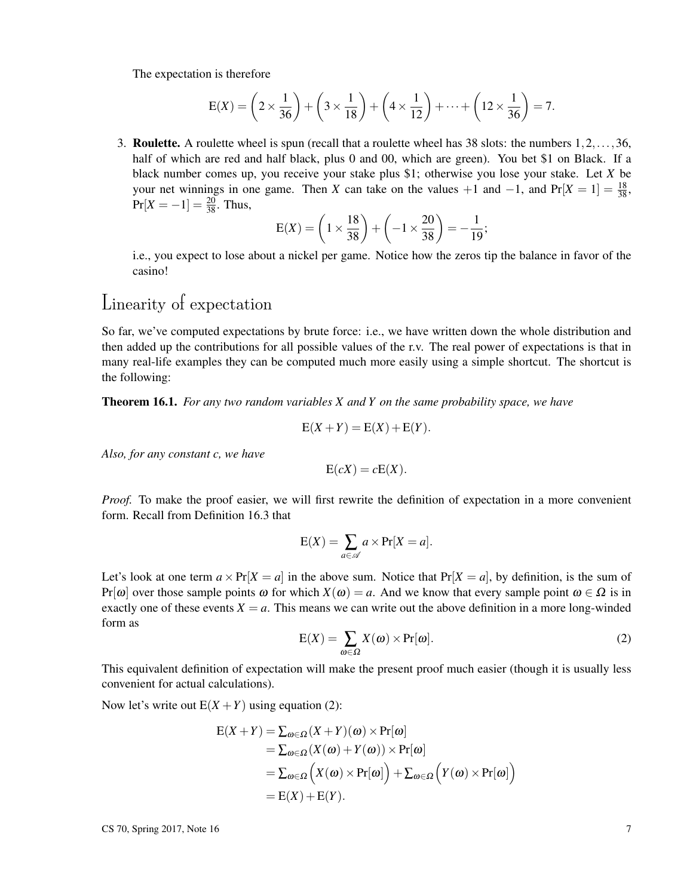The expectation is therefore

$$
E(X) = \left(2 \times \frac{1}{36}\right) + \left(3 \times \frac{1}{18}\right) + \left(4 \times \frac{1}{12}\right) + \dots + \left(12 \times \frac{1}{36}\right) = 7.
$$

3. Roulette. A roulette wheel is spun (recall that a roulette wheel has 38 slots: the numbers 1,2,...,36, half of which are red and half black, plus 0 and 00, which are green). You bet \$1 on Black. If a black number comes up, you receive your stake plus \$1; otherwise you lose your stake. Let *X* be your net winnings in one game. Then *X* can take on the values +1 and  $-1$ , and Pr[ $X = 1$ ] =  $\frac{18}{38}$ ,  $Pr[X = -1] = \frac{20}{38}$ . Thus,

$$
E(X) = \left(1 \times \frac{18}{38}\right) + \left(-1 \times \frac{20}{38}\right) = -\frac{1}{19};
$$

i.e., you expect to lose about a nickel per game. Notice how the zeros tip the balance in favor of the casino!

## Linearity of expectation

So far, we've computed expectations by brute force: i.e., we have written down the whole distribution and then added up the contributions for all possible values of the r.v. The real power of expectations is that in many real-life examples they can be computed much more easily using a simple shortcut. The shortcut is the following:

Theorem 16.1. *For any two random variables X and Y on the same probability space, we have*

$$
E(X+Y) = E(X) + E(Y).
$$

*Also, for any constant c, we have*

$$
E(cX) = cE(X).
$$

*Proof.* To make the proof easier, we will first rewrite the definition of expectation in a more convenient form. Recall from Definition 16.3 that

$$
E(X) = \sum_{a \in \mathscr{A}} a \times \Pr[X = a].
$$

Let's look at one term  $a \times Pr[X = a]$  in the above sum. Notice that  $Pr[X = a]$ , by definition, is the sum of  $Pr[\omega]$  over those sample points  $\omega$  for which  $X(\omega) = a$ . And we know that every sample point  $\omega \in \Omega$  is in exactly one of these events  $X = a$ . This means we can write out the above definition in a more long-winded form as

$$
E(X) = \sum_{\omega \in \Omega} X(\omega) \times Pr[\omega].
$$
 (2)

This equivalent definition of expectation will make the present proof much easier (though it is usually less convenient for actual calculations).

Now let's write out  $E(X + Y)$  using equation (2):

$$
E(X+Y) = \sum_{\omega \in \Omega} (X+Y)(\omega) \times Pr[\omega]
$$
  
=  $\sum_{\omega \in \Omega} (X(\omega) + Y(\omega)) \times Pr[\omega]$   
=  $\sum_{\omega \in \Omega} (X(\omega) \times Pr[\omega]) + \sum_{\omega \in \Omega} (Y(\omega) \times Pr[\omega])$   
=  $E(X) + E(Y).$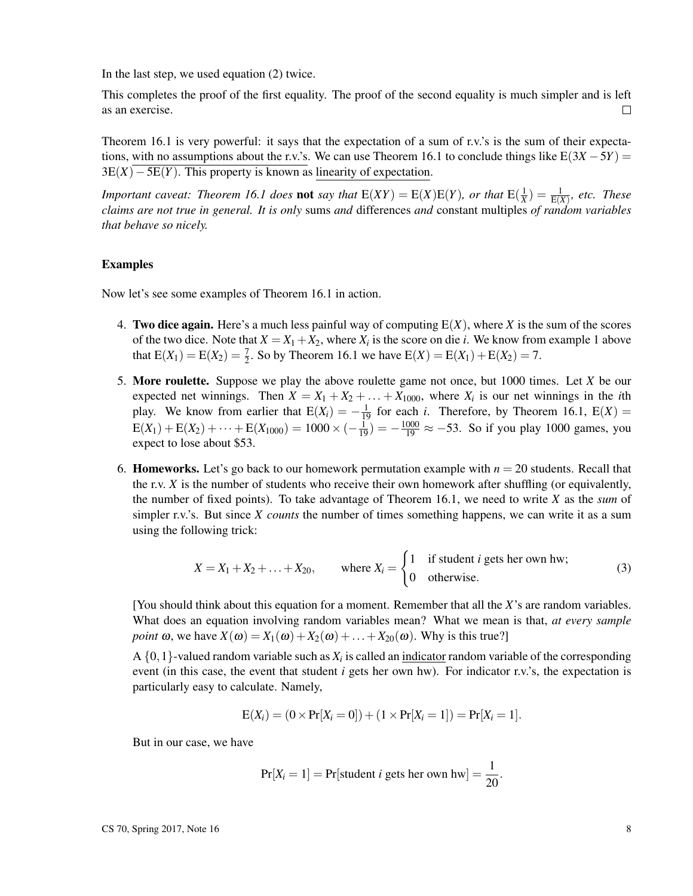In the last step, we used equation (2) twice.

This completes the proof of the first equality. The proof of the second equality is much simpler and is left as an exercise.  $\Box$ 

Theorem 16.1 is very powerful: it says that the expectation of a sum of r.v.'s is the sum of their expectations, with no assumptions about the r.v.'s. We can use Theorem 16.1 to conclude things like  $E(3X – 5Y) =$  $3E(X) - 5E(Y)$ . This property is known as linearity of expectation.

*Important caveat: Theorem 16.1 does* **not** *say that*  $E(XY) = E(X)E(Y)$ *, or that*  $E(\frac{1}{X}) = \frac{1}{E(X)}$ *, etc. These claims are not true in general. It is only* sums *and* differences *and* constant multiples *of random variables that behave so nicely.*

#### Examples

Now let's see some examples of Theorem 16.1 in action.

- 4. Two dice again. Here's a much less painful way of computing E(*X*), where *X* is the sum of the scores of the two dice. Note that  $X = X_1 + X_2$ , where  $X_i$  is the score on die *i*. We know from example 1 above that  $E(X_1) = E(X_2) = \frac{7}{2}$ . So by Theorem 16.1 we have  $E(X) = E(X_1) + E(X_2) = 7$ .
- 5. More roulette. Suppose we play the above roulette game not once, but 1000 times. Let *X* be our expected net winnings. Then  $X = X_1 + X_2 + \ldots + X_{1000}$ , where  $X_i$  is our net winnings in the *i*th play. We know from earlier that  $E(X_i) = -\frac{1}{19}$  for each *i*. Therefore, by Theorem 16.1,  $E(X) =$  $E(X_1) + E(X_2) + \cdots + E(X_{1000}) = 1000 \times (-\frac{1}{19}) = -\frac{1000}{19} \approx -53$ . So if you play 1000 games, you expect to lose about \$53.
- 6. **Homeworks.** Let's go back to our homework permutation example with  $n = 20$  students. Recall that the r.v.  $X$  is the number of students who receive their own homework after shuffling (or equivalently, the number of fixed points). To take advantage of Theorem 16.1, we need to write *X* as the *sum* of simpler r.v.'s. But since *X counts* the number of times something happens, we can write it as a sum using the following trick:

$$
X = X_1 + X_2 + \ldots + X_{20}, \qquad \text{where } X_i = \begin{cases} 1 & \text{if student } i \text{ gets her own hw;} \\ 0 & \text{otherwise.} \end{cases} \tag{3}
$$

[You should think about this equation for a moment. Remember that all the *X*'s are random variables. What does an equation involving random variables mean? What we mean is that, *at every sample point*  $\omega$ , we have  $X(\omega) = X_1(\omega) + X_2(\omega) + \ldots + X_{20}(\omega)$ . Why is this true?]

A  $\{0,1\}$ -valued random variable such as  $X_i$  is called an indicator random variable of the corresponding event (in this case, the event that student *i* gets her own hw). For indicator r.v.'s, the expectation is particularly easy to calculate. Namely,

$$
E(X_i) = (0 \times Pr[X_i = 0]) + (1 \times Pr[X_i = 1]) = Pr[X_i = 1].
$$

But in our case, we have

$$
Pr[X_i = 1] = Pr[student \text{ } i \text{ gets her own hw}] = \frac{1}{20}.
$$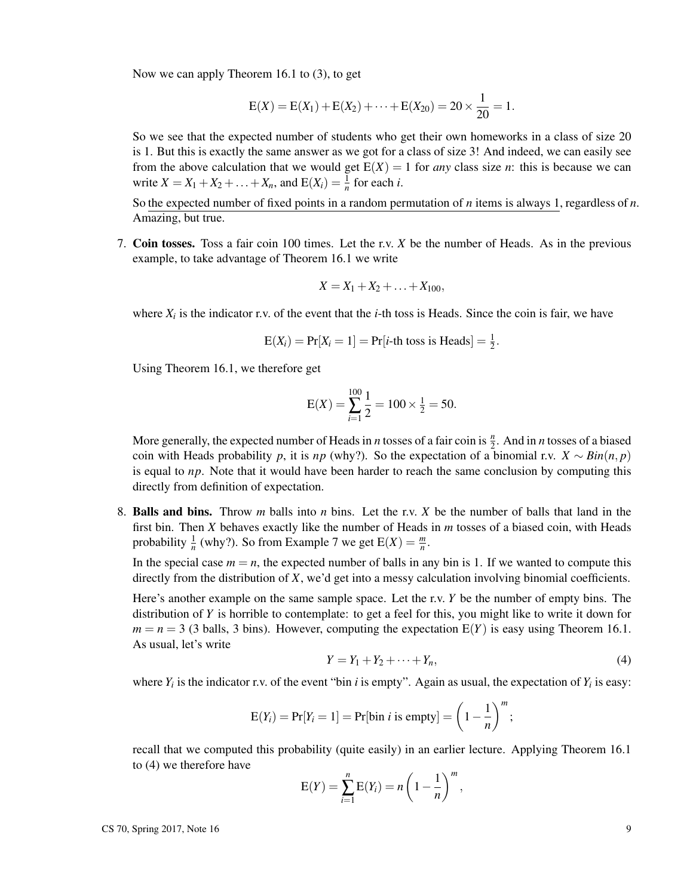Now we can apply Theorem 16.1 to (3), to get

$$
E(X) = E(X_1) + E(X_2) + \cdots + E(X_{20}) = 20 \times \frac{1}{20} = 1.
$$

So we see that the expected number of students who get their own homeworks in a class of size 20 is 1. But this is exactly the same answer as we got for a class of size 3! And indeed, we can easily see from the above calculation that we would get  $E(X) = 1$  for *any* class size *n*: this is because we can write  $X = X_1 + X_2 + ... + X_n$ , and  $E(X_i) = \frac{1}{n}$  for each *i*.

So the expected number of fixed points in a random permutation of *n* items is always 1, regardless of *n*. Amazing, but true.

7. Coin tosses. Toss a fair coin 100 times. Let the r.v. *X* be the number of Heads. As in the previous example, to take advantage of Theorem 16.1 we write

$$
X = X_1 + X_2 + \ldots + X_{100},
$$

where  $X_i$  is the indicator r.v. of the event that the *i*-th toss is Heads. Since the coin is fair, we have

$$
E(X_i) = Pr[X_i = 1] = Pr[i-th toss is Heads] = \frac{1}{2}.
$$

Using Theorem 16.1, we therefore get

$$
E(X) = \sum_{i=1}^{100} \frac{1}{2} = 100 \times \frac{1}{2} = 50.
$$

More generally, the expected number of Heads in *n* tosses of a fair coin is  $\frac{n}{2}$ . And in *n* tosses of a biased coin with Heads probability *p*, it is *np* (why?). So the expectation of a binomial r.v.  $X \sim Bin(n, p)$ is equal to *np*. Note that it would have been harder to reach the same conclusion by computing this directly from definition of expectation.

8. Balls and bins. Throw *m* balls into *n* bins. Let the r.v. *X* be the number of balls that land in the first bin. Then *X* behaves exactly like the number of Heads in *m* tosses of a biased coin, with Heads probability  $\frac{1}{n}$  (why?). So from Example 7 we get  $E(X) = \frac{m}{n}$ .

In the special case  $m = n$ , the expected number of balls in any bin is 1. If we wanted to compute this directly from the distribution of *X*, we'd get into a messy calculation involving binomial coefficients.

Here's another example on the same sample space. Let the r.v. *Y* be the number of empty bins. The distribution of *Y* is horrible to contemplate: to get a feel for this, you might like to write it down for  $m = n = 3$  (3 balls, 3 bins). However, computing the expectation  $E(Y)$  is easy using Theorem 16.1. As usual, let's write

$$
Y = Y_1 + Y_2 + \dots + Y_n,\tag{4}
$$

where  $Y_i$  is the indicator r.v. of the event "bin *i* is empty". Again as usual, the expectation of  $Y_i$  is easy:

$$
E(Y_i) = Pr[Y_i = 1] = Pr[bin i is empty] = \left(1 - \frac{1}{n}\right)^m;
$$

recall that we computed this probability (quite easily) in an earlier lecture. Applying Theorem 16.1 to (4) we therefore have

$$
E(Y) = \sum_{i=1}^{n} E(Y_i) = n \left(1 - \frac{1}{n}\right)^m
$$
,